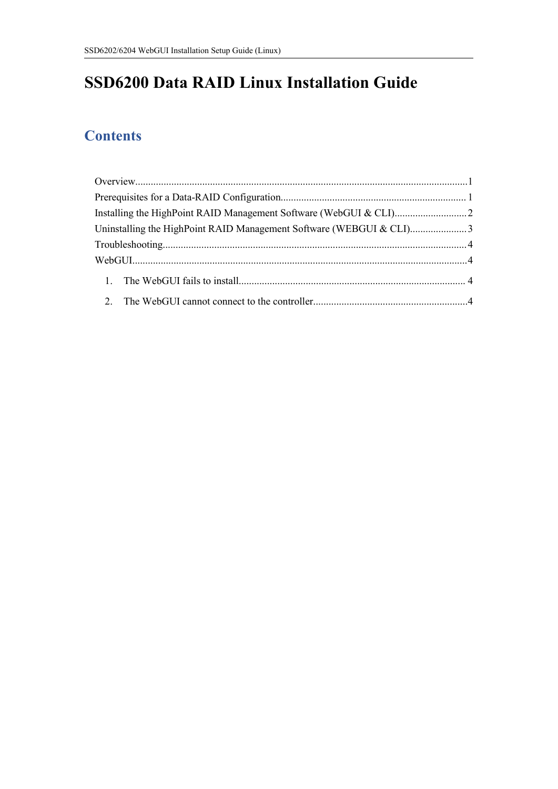# **SSD6200 Data RAID Linux Installation Guide**

# **Contents**

|  | Uninstalling the HighPoint RAID Management Software (WEBGUI & CLI)3 |  |
|--|---------------------------------------------------------------------|--|
|  |                                                                     |  |
|  |                                                                     |  |
|  |                                                                     |  |
|  |                                                                     |  |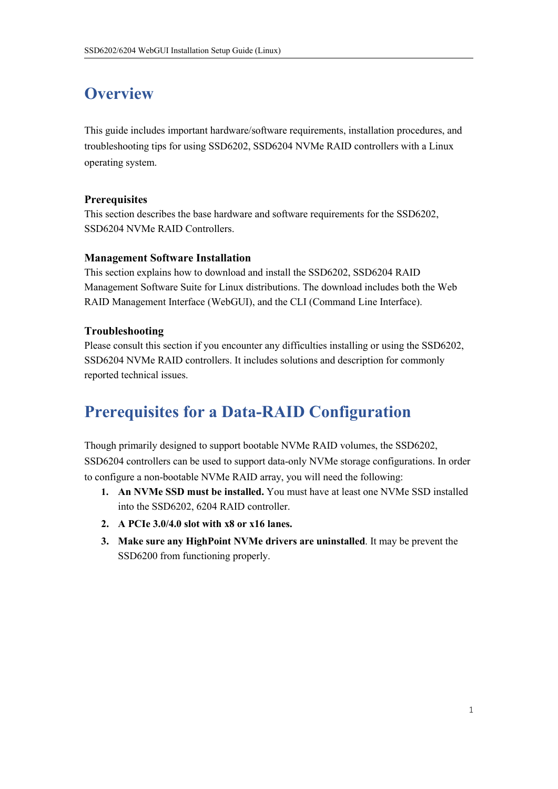# <span id="page-1-0"></span>**Overview**

This guide includes important hardware/software requirements, installation procedures, and troubleshooting tips for using SSD6202, SSD6204 NVMe RAID controllers with a Linux operating system.

### **Prerequisites**

This section describes the base hardware and software requirements for the SSD6202, SSD6204 NVMe RAID Controllers.

### **Management Software Installation**

This section explains how to download and install the SSD6202, SSD6204 RAID Management Software Suite for Linux distributions. The download includes both the Web RAID Management Interface (WebGUI), and the CLI (Command Line Interface).

### **Troubleshooting**

Please consult this section if you encounter any difficulties installing or using the SSD6202, SSD6204 NVMe RAID controllers. It includes solutions and description for commonly reported technical issues.

# <span id="page-1-1"></span>**Prerequisites for a Data-RAID Configuration**

Though primarily designed to support bootable NVMe RAID volumes, the SSD6202, SSD6204 controllers can be used to support data-only NVMe storage configurations. In order to configure a non-bootable NVMe RAID array, you will need the following:

- **1. An NVMe SSD must be installed.** You must have at least one NVMe SSD installed into the SSD6202, 6204 RAID controller.
- **2. A PCIe 3.0/4.0 slot with x8 or x16 lanes.**
- **3. Make sure any HighPoint NVMe drivers are uninstalled**. It may be prevent the SSD6200 from functioning properly.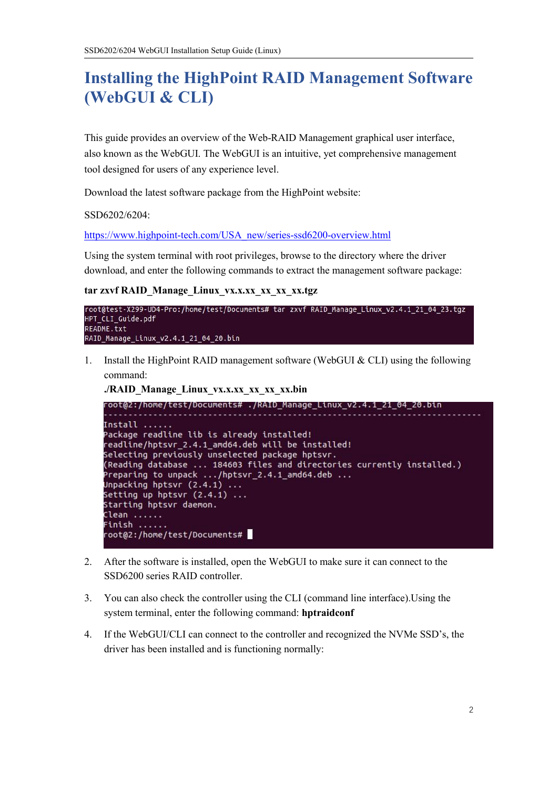# <span id="page-2-0"></span>**Installing the HighPoint RAID Management Software (WebGUI & CLI)**

This guide provides an overview of the Web-RAID Management graphical user interface, also known as the WebGUI. The WebGUI is an intuitive, yet comprehensive management tool designed for users of any experience level.

Download the latest software package from the HighPoint website:

SSD6202/6204:

[https://www.highpoint-tech.com/USA\\_new/series-ssd6200-overview.html](https://www.highpoint-tech.com/USA_new/series-ssd6200-overview.html)

Using the system terminal with root privileges, browse to the directory where the driver download, and enter the following commands to extract the management software package:

#### **tar zxvf RAID\_Manage\_Linux\_vx.x.xx\_xx\_xx\_xx.tgz**



1. Install the HighPoint RAID management software (WebGUI & CLI) using the following command:

**./RAID\_Manage\_Linux\_vx.x.xx\_xx\_xx\_xx.bin**

```
root@2:/home/test/Documents# ./RAID_Manage_Linux_v2.4.1_21_04_20.bin
Install .....
Package readline lib is already installed!
readline/hptsvr_2.4.1_amd64.deb will be installed!
Selecting previously unselected package hptsvr.
(Reading database ... 184603 files and directories currently installed.)
Preparing to unpack \ldots/hptsvr_2.4.1_amd64.deb \ldotsUnpacking hptsvr (2.4.1) ...
Setting up hptsvr (2.4.1) ...
Starting hptsvr daemon.
Clean ......
Finish .....
root@2:/home/test/Documents#
```
- 2. After the software is installed, open the WebGUI to make sure it can connect to the SSD6200 series RAID controller.
- 3. You can also check the controller using the CLI (command line interface).Using the system terminal, enter the following command: **hptraidconf**
- 4. If the WebGUI/CLI can connect to the controller and recognized the NVMe SSD's, the driver has been installed and is functioning normally: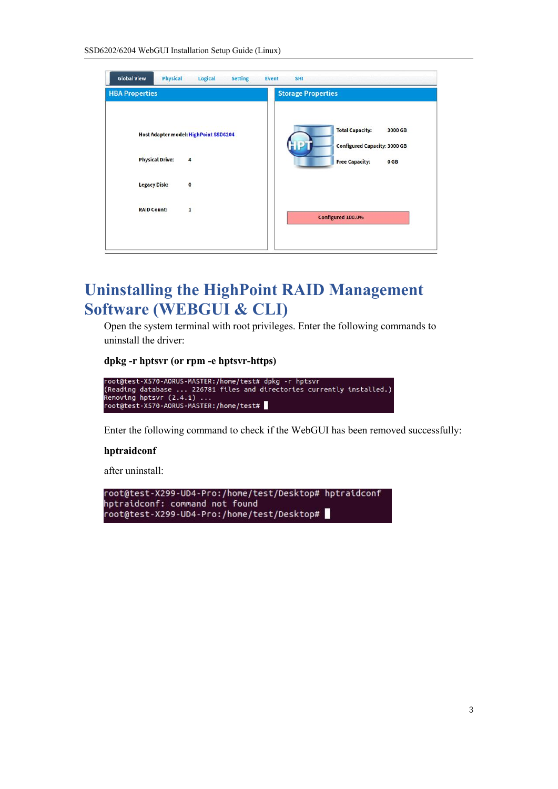| <b>HBA Properties</b>                                                | <b>Storage Properties</b>                                                                                 |
|----------------------------------------------------------------------|-----------------------------------------------------------------------------------------------------------|
| Host Adapter model: HighPoint SSD6204<br><b>Physical Drive:</b><br>4 | <b>Total Capacity:</b><br>3000 GB<br><b>Configured Capacity: 3000 GB</b><br><b>Free Capacity:</b><br>0 GB |
| <b>Legacy Disk:</b><br>$\mathbf{o}$                                  |                                                                                                           |
| <b>RAID Count:</b><br>1                                              | Configured 100.0%                                                                                         |

# <span id="page-3-0"></span>**Uninstalling the HighPoint RAID Management Software (WEBGUI & CLI)**

Open the system terminal with root privileges. Enter the following commands to uninstall the driver:

#### **dpkg -r hptsvr (or rpm -e hptsvr-https)**



Enter the following command to check if the WebGUI has been removed successfully:

#### **hptraidconf**

after uninstall:

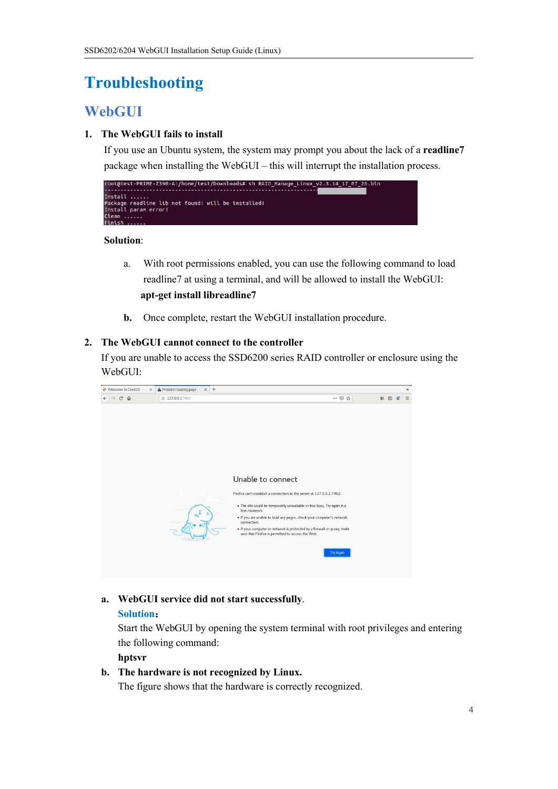# <span id="page-4-0"></span>**Troubleshooting**

## <span id="page-4-1"></span>**WebGUI**

## <span id="page-4-2"></span>**1. The WebGUI fails to install**

If you use an Ubuntu system, the system may prompt you about the lack of a **readline7** package when installing the WebGUI – this will interrupt the installation process.



**Solution**:

- a. With root permissions enabled, you can use the following command to load readline7 at using a terminal, and will be allowed to install the WebGUI: **apt-get install libreadline7**
- **b.** Once complete, restart the WebGUI installation procedure.

## <span id="page-4-3"></span>**2. The WebGUI cannot connect to the controller**

If you are unable to access the SSD6200 series RAID controller or enclosure using the WebGUI:



### **a. WebGUI service did not start successfully**.

### **Solution**:

Start the WebGUI by opening the system terminal with root privileges and entering the following command:

#### **hptsvr**

### **b. The hardware is not recognized by Linux.**

The figure shows that the hardware is correctly recognized.